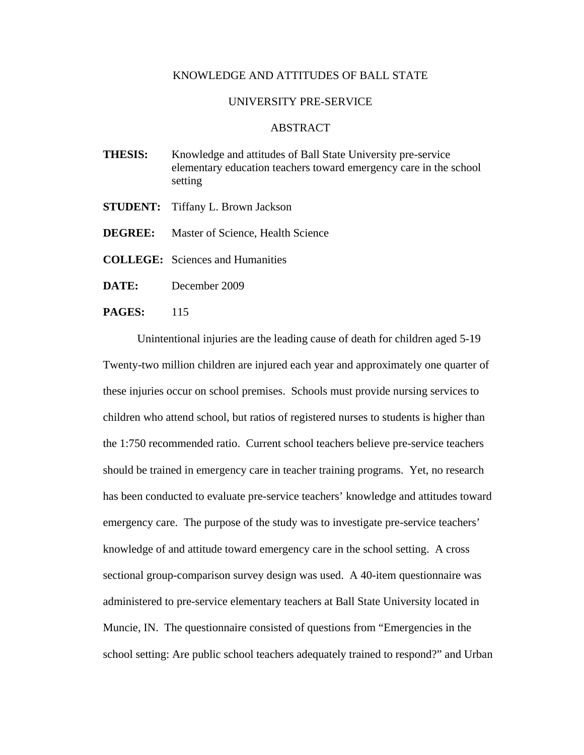## KNOWLEDGE AND ATTITUDES OF BALL STATE

## UNIVERSITY PRE-SERVICE

## ABSTRACT

- **THESIS:** Knowledge and attitudes of Ball State University pre-service elementary education teachers toward emergency care in the school setting
- **STUDENT:** Tiffany L. Brown Jackson
- **DEGREE:** Master of Science, Health Science
- **COLLEGE:** Sciences and Humanities
- **DATE:** December 2009
- **PAGES:** 115

 Unintentional injuries are the leading cause of death for children aged 5-19 Twenty-two million children are injured each year and approximately one quarter of these injuries occur on school premises. Schools must provide nursing services to children who attend school, but ratios of registered nurses to students is higher than the 1:750 recommended ratio. Current school teachers believe pre-service teachers should be trained in emergency care in teacher training programs. Yet, no research has been conducted to evaluate pre-service teachers' knowledge and attitudes toward emergency care. The purpose of the study was to investigate pre-service teachers' knowledge of and attitude toward emergency care in the school setting. A cross sectional group-comparison survey design was used. A 40-item questionnaire was administered to pre-service elementary teachers at Ball State University located in Muncie, IN. The questionnaire consisted of questions from "Emergencies in the school setting: Are public school teachers adequately trained to respond?" and Urban